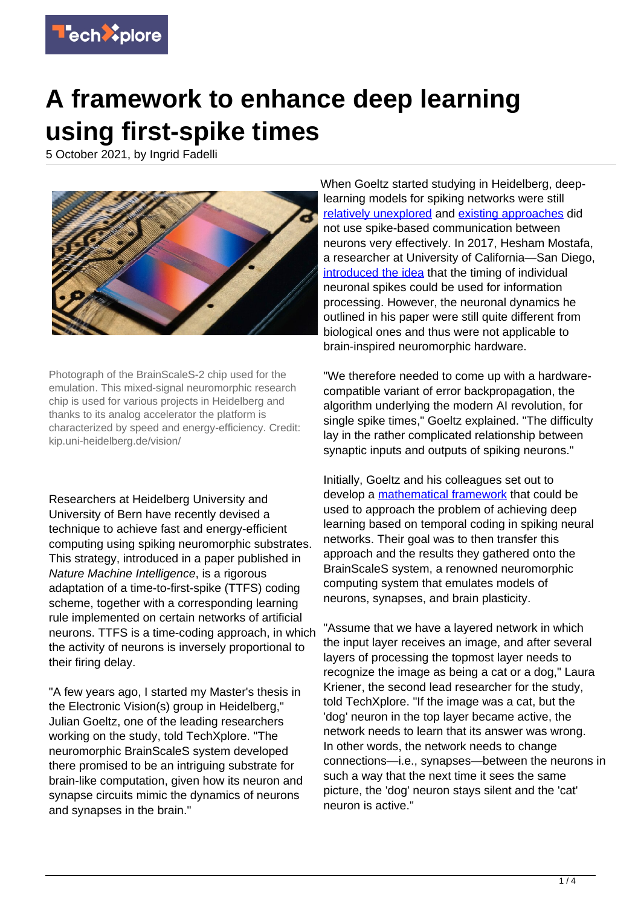

## **A framework to enhance deep learning using first-spike times**

5 October 2021, by Ingrid Fadelli



Photograph of the BrainScaleS-2 chip used for the emulation. This mixed-signal neuromorphic research chip is used for various projects in Heidelberg and thanks to its analog accelerator the platform is characterized by speed and energy-efficiency. Credit: kip.uni-heidelberg.de/vision/

Researchers at Heidelberg University and University of Bern have recently devised a technique to achieve fast and energy-efficient computing using spiking neuromorphic substrates. This strategy, introduced in a paper published in Nature Machine Intelligence, is a rigorous adaptation of a time-to-first-spike (TTFS) coding scheme, together with a corresponding learning rule implemented on certain networks of artificial neurons. TTFS is a time-coding approach, in which the activity of neurons is inversely proportional to their firing delay.

"A few years ago, I started my Master's thesis in the Electronic Vision(s) group in Heidelberg," Julian Goeltz, one of the leading researchers working on the study, told TechXplore. "The neuromorphic BrainScaleS system developed there promised to be an intriguing substrate for brain-like computation, given how its neuron and synapse circuits mimic the dynamics of neurons and synapses in the brain."

When Goeltz started studying in Heidelberg, deeplearning models for spiking networks were still [relatively unexplored](https://papers.nips.cc/paper/2015/hash/10a5ab2db37feedfdeaab192ead4ac0e-Abstract.html) and [existing approaches](https://ieeexplore.ieee.org/document/7966125) did not use spike-based communication between neurons very effectively. In 2017, Hesham Mostafa, a researcher at University of California—San Diego, [introduced the idea](https://ieeexplore.ieee.org/document/7999227/authors#authors) that the timing of individual neuronal spikes could be used for information processing. However, the neuronal dynamics he outlined in his paper were still quite different from biological ones and thus were not applicable to brain-inspired neuromorphic hardware.

"We therefore needed to come up with a hardwarecompatible variant of error backpropagation, the algorithm underlying the modern AI revolution, for single spike times," Goeltz explained. "The difficulty lay in the rather complicated relationship between synaptic inputs and outputs of spiking neurons."

Initially, Goeltz and his colleagues set out to develop a [mathematical framework](https://techxplore.com/tags/mathematical+framework/) that could be used to approach the problem of achieving deep learning based on temporal coding in spiking neural networks. Their goal was to then transfer this approach and the results they gathered onto the BrainScaleS system, a renowned neuromorphic computing system that emulates models of neurons, synapses, and brain plasticity.

"Assume that we have a layered network in which the input layer receives an image, and after several layers of processing the topmost layer needs to recognize the image as being a cat or a dog," Laura Kriener, the second lead researcher for the study, told TechXplore. "If the image was a cat, but the 'dog' neuron in the top layer became active, the network needs to learn that its answer was wrong. In other words, the network needs to change connections—i.e., synapses—between the neurons in such a way that the next time it sees the same picture, the 'dog' neuron stays silent and the 'cat' neuron is active."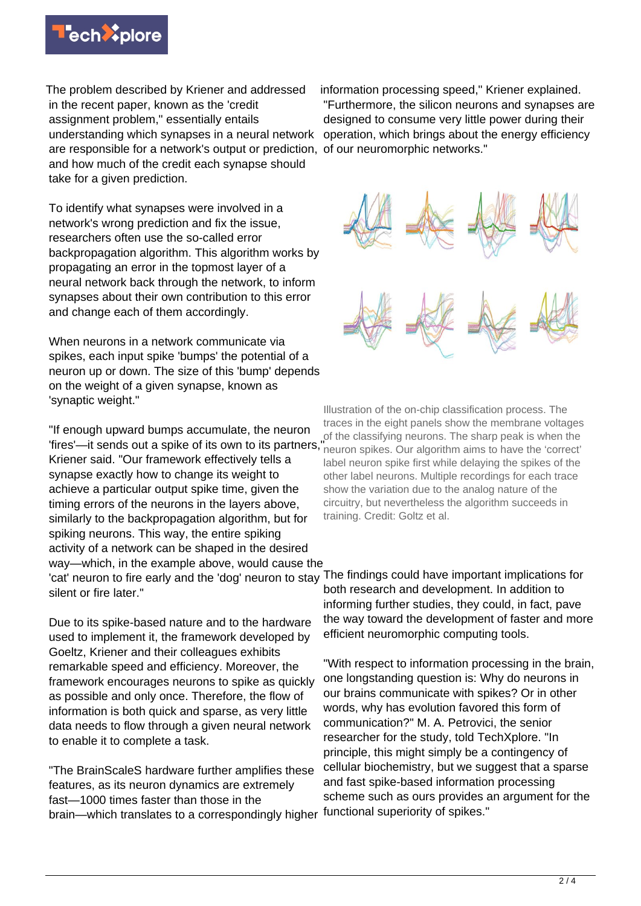

The problem described by Kriener and addressed in the recent paper, known as the 'credit assignment problem," essentially entails understanding which synapses in a neural network are responsible for a network's output or prediction, of our neuromorphic networks." and how much of the credit each synapse should take for a given prediction.

To identify what synapses were involved in a network's wrong prediction and fix the issue, researchers often use the so-called error backpropagation algorithm. This algorithm works by propagating an error in the topmost layer of a neural network back through the network, to inform synapses about their own contribution to this error and change each of them accordingly.

When neurons in a network communicate via spikes, each input spike 'bumps' the potential of a neuron up or down. The size of this 'bump' depends on the weight of a given synapse, known as 'synaptic weight."

"If enough upward bumps accumulate, the neuron 'fires'—it sends out a spike of its own to its partners," Kriener said. "Our framework effectively tells a synapse exactly how to change its weight to achieve a particular output spike time, given the timing errors of the neurons in the layers above, similarly to the backpropagation algorithm, but for spiking neurons. This way, the entire spiking activity of a network can be shaped in the desired way—which, in the example above, would cause the 'cat' neuron to fire early and the 'dog' neuron to stay The findings could have important implications for silent or fire later."

Due to its spike-based nature and to the hardware used to implement it, the framework developed by Goeltz, Kriener and their colleagues exhibits remarkable speed and efficiency. Moreover, the framework encourages neurons to spike as quickly as possible and only once. Therefore, the flow of information is both quick and sparse, as very little data needs to flow through a given neural network to enable it to complete a task.

"The BrainScaleS hardware further amplifies these features, as its neuron dynamics are extremely fast—1000 times faster than those in the brain—which translates to a correspondingly higher

information processing speed," Kriener explained. "Furthermore, the silicon neurons and synapses are designed to consume very little power during their operation, which brings about the energy efficiency



Illustration of the on-chip classification process. The traces in the eight panels show the membrane voltages of the classifying neurons. The sharp peak is when the neuron spikes. Our algorithm aims to have the 'correct' label neuron spike first while delaying the spikes of the other label neurons. Multiple recordings for each trace show the variation due to the analog nature of the circuitry, but nevertheless the algorithm succeeds in training. Credit: Goltz et al.

both research and development. In addition to informing further studies, they could, in fact, pave the way toward the development of faster and more efficient neuromorphic computing tools.

"With respect to information processing in the brain, one longstanding question is: Why do neurons in our brains communicate with spikes? Or in other words, why has evolution favored this form of communication?" M. A. Petrovici, the senior researcher for the study, told TechXplore. "In principle, this might simply be a contingency of cellular biochemistry, but we suggest that a sparse and fast spike-based information processing scheme such as ours provides an argument for the functional superiority of spikes."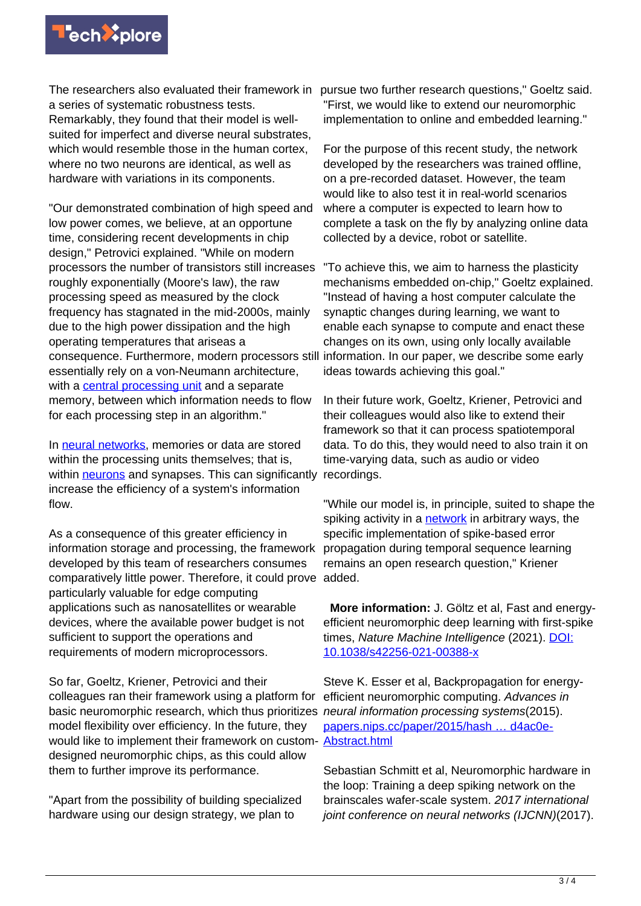

a series of systematic robustness tests. Remarkably, they found that their model is wellsuited for imperfect and diverse neural substrates, which would resemble those in the human cortex. where no two neurons are identical, as well as hardware with variations in its components.

"Our demonstrated combination of high speed and low power comes, we believe, at an opportune time, considering recent developments in chip design," Petrovici explained. "While on modern processors the number of transistors still increases roughly exponentially (Moore's law), the raw processing speed as measured by the clock frequency has stagnated in the mid-2000s, mainly due to the high power dissipation and the high operating temperatures that ariseas a consequence. Furthermore, modern processors still essentially rely on a von-Neumann architecture, with a [central processing unit](https://techxplore.com/tags/central+processing+unit/) and a separate memory, between which information needs to flow for each processing step in an algorithm."

In [neural networks](https://techxplore.com/tags/neural+networks/), memories or data are stored within the processing units themselves; that is, within [neurons](https://techxplore.com/tags/neurons/) and synapses. This can significantly increase the efficiency of a system's information flow.

As a consequence of this greater efficiency in information storage and processing, the framework developed by this team of researchers consumes comparatively little power. Therefore, it could prove added. particularly valuable for edge computing applications such as nanosatellites or wearable devices, where the available power budget is not sufficient to support the operations and requirements of modern microprocessors.

So far, Goeltz, Kriener, Petrovici and their colleagues ran their framework using a platform for basic neuromorphic research, which thus prioritizes neural information processing systems(2015). model flexibility over efficiency. In the future, they would like to implement their framework on custom- [Abstract.html](https://papers.nips.cc/paper/2015/hash/10a5ab2db37feedfdeaab192ead4ac0e-Abstract.html) designed neuromorphic chips, as this could allow them to further improve its performance.

"Apart from the possibility of building specialized hardware using our design strategy, we plan to

The researchers also evaluated their framework in pursue two further research questions," Goeltz said. "First, we would like to extend our neuromorphic implementation to online and embedded learning."

> For the purpose of this recent study, the network developed by the researchers was trained offline, on a pre-recorded dataset. However, the team would like to also test it in real-world scenarios where a computer is expected to learn how to complete a task on the fly by analyzing online data collected by a device, robot or satellite.

"To achieve this, we aim to harness the plasticity mechanisms embedded on-chip," Goeltz explained. "Instead of having a host computer calculate the synaptic changes during learning, we want to enable each synapse to compute and enact these changes on its own, using only locally available information. In our paper, we describe some early ideas towards achieving this goal."

In their future work, Goeltz, Kriener, Petrovici and their colleagues would also like to extend their framework so that it can process spatiotemporal data. To do this, they would need to also train it on time-varying data, such as audio or video recordings.

"While our model is, in principle, suited to shape the spiking activity in a [network](https://techxplore.com/tags/network/) in arbitrary ways, the specific implementation of spike-based error propagation during temporal sequence learning remains an open research question," Kriener

 **More information:** J. Göltz et al, Fast and energyefficient neuromorphic deep learning with first-spike times, Nature Machine Intelligence (2021). [DOI:](http://dx.doi.org/10.1038/s42256-021-00388-x) [10.1038/s42256-021-00388-x](http://dx.doi.org/10.1038/s42256-021-00388-x)

Steve K. Esser et al, Backpropagation for energyefficient neuromorphic computing. Advances in [papers.nips.cc/paper/2015/hash … d4ac0e-](https://papers.nips.cc/paper/2015/hash/10a5ab2db37feedfdeaab192ead4ac0e-Abstract.html)

Sebastian Schmitt et al, Neuromorphic hardware in the loop: Training a deep spiking network on the brainscales wafer-scale system. 2017 international joint conference on neural networks (IJCNN)(2017).